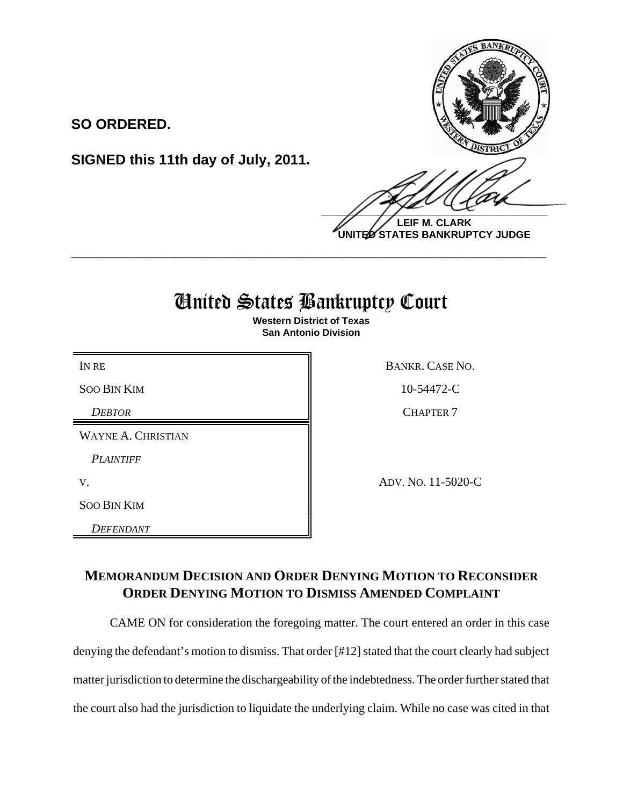

**UNITED STATES BANKRUPTCY JUDGE**

## United States Bankruptcy Court

**\_\_\_\_\_\_\_\_\_\_\_\_\_\_\_\_\_\_\_\_\_\_\_\_\_\_\_\_\_\_\_\_\_\_\_\_\_\_\_\_\_\_\_\_\_\_\_\_\_\_\_\_\_\_\_\_\_\_\_\_**

**Western District of Texas San Antonio Division**

SOO BIN KIM 10-54472-C

**SO ORDERED.**

**SIGNED this 11th day of July, 2011.**

WAYNE A. CHRISTIAN

*PLAINTIFF* 

SOO BIN KIM

*DEFENDANT*

BANKR. CASE NO.

**DEBTOR** CHAPTER 7

V. ADV. NO. 11-5020-C

## **MEMORANDUM DECISION AND ORDER DENYING MOTION TO RECONSIDER ORDER DENYING MOTION TO DISMISS AMENDED COMPLAINT**

CAME ON for consideration the foregoing matter. The court entered an order in this case denying the defendant's motion to dismiss. That order [#12] stated that the court clearly had subject matter jurisdiction to determine the dischargeability of the indebtedness. The order further stated that the court also had the jurisdiction to liquidate the underlying claim. While no case was cited in that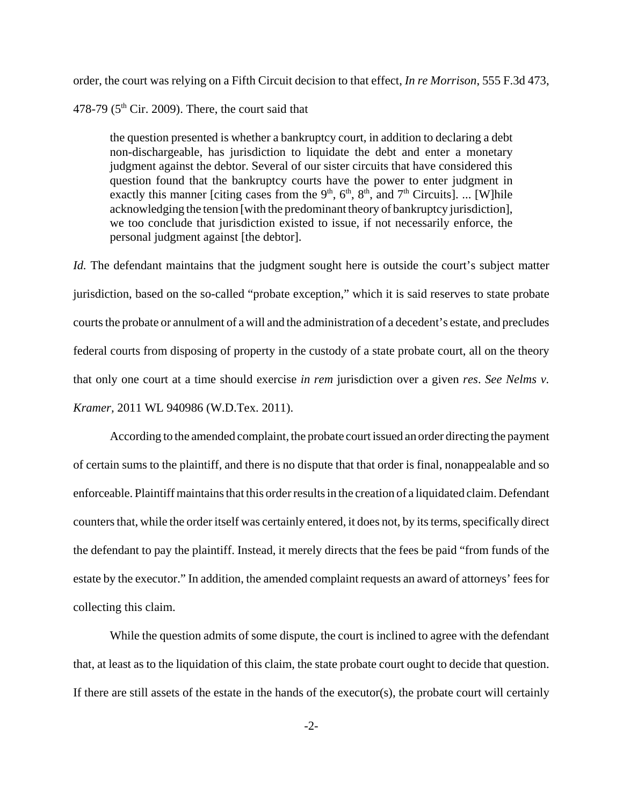order, the court was relying on a Fifth Circuit decision to that effect, *In re Morrison*, 555 F.3d 473, 478-79 ( $5<sup>th</sup>$  Cir. 2009). There, the court said that

the question presented is whether a bankruptcy court, in addition to declaring a debt non-dischargeable, has jurisdiction to liquidate the debt and enter a monetary judgment against the debtor. Several of our sister circuits that have considered this question found that the bankruptcy courts have the power to enter judgment in exactly this manner [citing cases from the 9<sup>th</sup>, 6<sup>th</sup>, 8<sup>th</sup>, and 7<sup>th</sup> Circuits]. ... [W]hile acknowledging the tension [with the predominant theory of bankruptcy jurisdiction], we too conclude that jurisdiction existed to issue, if not necessarily enforce, the personal judgment against [the debtor].

*Id.* The defendant maintains that the judgment sought here is outside the court's subject matter jurisdiction, based on the so-called "probate exception," which it is said reserves to state probate courts the probate or annulment of a will and the administration of a decedent's estate, and precludes federal courts from disposing of property in the custody of a state probate court, all on the theory that only one court at a time should exercise *in rem* jurisdiction over a given *res*. *See Nelms v. Kramer,* 2011 WL 940986 (W.D.Tex. 2011).

According to the amended complaint, the probate court issued an order directing the payment of certain sums to the plaintiff, and there is no dispute that that order is final, nonappealable and so enforceable. Plaintiff maintains that this order results in the creation of a liquidated claim. Defendant counters that, while the order itself was certainly entered, it does not, by its terms, specifically direct the defendant to pay the plaintiff. Instead, it merely directs that the fees be paid "from funds of the estate by the executor." In addition, the amended complaint requests an award of attorneys' fees for collecting this claim.

While the question admits of some dispute, the court is inclined to agree with the defendant that, at least as to the liquidation of this claim, the state probate court ought to decide that question. If there are still assets of the estate in the hands of the executor(s), the probate court will certainly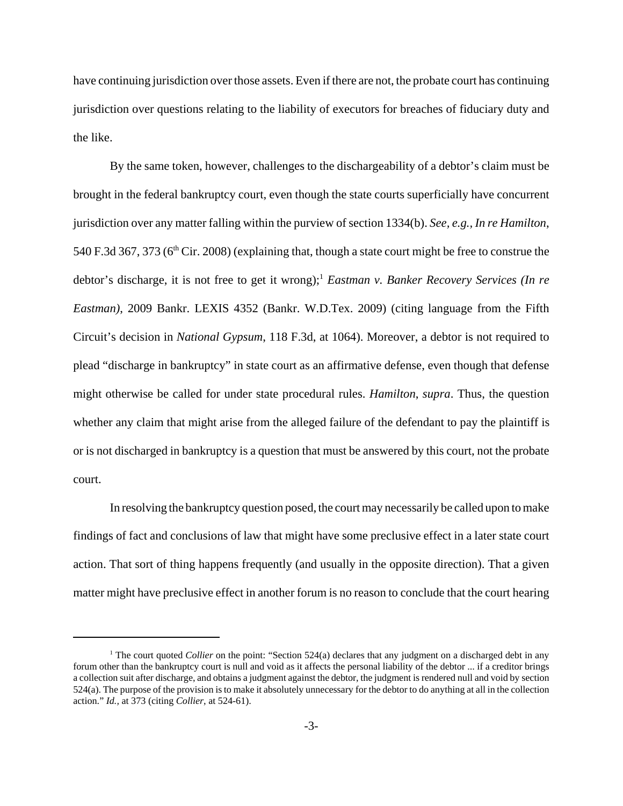have continuing jurisdiction over those assets. Even if there are not, the probate court has continuing jurisdiction over questions relating to the liability of executors for breaches of fiduciary duty and the like.

By the same token, however, challenges to the dischargeability of a debtor's claim must be brought in the federal bankruptcy court, even though the state courts superficially have concurrent jurisdiction over any matter falling within the purview of section 1334(b). *See, e.g., In re Hamilton*, 540 F.3d 367, 373 (6th Cir. 2008) (explaining that, though a state court might be free to construe the debtor's discharge, it is not free to get it wrong);<sup>1</sup> *Eastman v. Banker Recovery Services (In re Eastman)*, 2009 Bankr. LEXIS 4352 (Bankr. W.D.Tex. 2009) (citing language from the Fifth Circuit's decision in *National Gypsum*, 118 F.3d, at 1064). Moreover, a debtor is not required to plead "discharge in bankruptcy" in state court as an affirmative defense, even though that defense might otherwise be called for under state procedural rules. *Hamilton*, *supra*. Thus, the question whether any claim that might arise from the alleged failure of the defendant to pay the plaintiff is or is not discharged in bankruptcy is a question that must be answered by this court, not the probate court.

In resolving the bankruptcy question posed, the court may necessarily be called upon to make findings of fact and conclusions of law that might have some preclusive effect in a later state court action. That sort of thing happens frequently (and usually in the opposite direction). That a given matter might have preclusive effect in another forum is no reason to conclude that the court hearing

<sup>&</sup>lt;sup>1</sup> The court quoted *Collier* on the point: "Section 524(a) declares that any judgment on a discharged debt in any forum other than the bankruptcy court is null and void as it affects the personal liability of the debtor ... if a creditor brings a collection suit after discharge, and obtains a judgment against the debtor, the judgment is rendered null and void by section 524(a). The purpose of the provision is to make it absolutely unnecessary for the debtor to do anything at all in the collection action." *Id.,* at 373 (citing *Collier*, at 524-61).